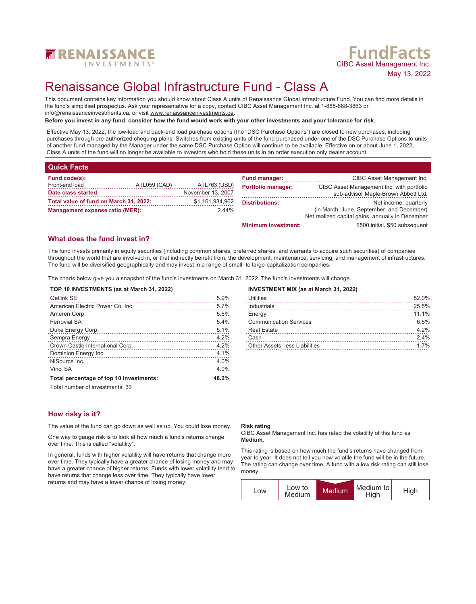

# **FundFacts**<br>CIBC Asset Management Inc. May 13, 2022

## Renaissance Global Infrastructure Fund - Class A

This document contains key information you should know about Class A units of Renaissance Global Infrastructure Fund. You can find more details in the fund's simplified prospectus. Ask your representative for a copy, contact CIBC Asset Management Inc. at 1-888-888-3863 or info@renaissanceinvestments.ca, or visit www.renaissanceinvestments.ca.

#### **Before you invest in any fund, consider how the fund would work with your other investments and your tolerance for risk.**

Effective May 13, 2022, the low-load and back-end load purchase options (the "DSC Purchase Options") are closed to new purchases, including purchases through pre-authorized chequing plans. Switches from existing units of the fund purchased under one of the DSC Purchase Options to units of another fund managed by the Manager under the same DSC Purchase Option will continue to be available. Effective on or about June 1, 2022, Class A units of the fund will no longer be available to investors who hold these units in an order execution only dealer account.

## **Quick Facts**

| Fund code(s):                          |              |                   | <b>Fund manager:</b>       | CIBC Asset Management Inc.                       |
|----------------------------------------|--------------|-------------------|----------------------------|--------------------------------------------------|
| Front-end load                         | ATL059 (CAD) | ATL763 (USD)      | <b>Portfolio manager:</b>  | CIBC Asset Management Inc. with portfolio        |
| Date class started:                    |              | November 13, 2007 |                            | sub-advisor Maple-Brown Abbott Ltd.              |
| Total value of fund on March 31, 2022: |              | \$1,161,934,962   | <b>Distributions:</b>      | Net income, quarterly                            |
| Management expense ratio (MER):        |              | $2.44\%$          |                            | (in March, June, September, and December)        |
|                                        |              |                   |                            | Net realized capital gains, annually in December |
|                                        |              |                   | <b>Minimum investment:</b> | \$500 initial, \$50 subsequent                   |

## **What does the fund invest in?**

The fund invests primarily in equity securities (including common shares, preferred shares, and warrants to acquire such securities) of companies throughout the world that are involved in, or that indirectly benefit from, the development, maintenance, servicing, and management of infrastructures. The fund will be diversified geographically and may invest in a range of small- to large-capitalization companies.

The charts below give you a snapshot of the fund's investments on March 31, 2022. The fund's investments will change.

## **TOP 10 INVESTMENTS (as at March 31, 2022)**

| Getlink SE                              | 5.9%  |
|-----------------------------------------|-------|
| American Electric Power Co. Inc.        | 5.7%  |
| Ameren Corp.                            | 5.6%  |
| <b>Ferrovial SA</b>                     | 5.4%  |
| Duke Energy Corp.                       | 5.1%  |
| Sempra Energy                           | 4.2%  |
| Crown Castle International Corp.        | 4.2%  |
| Dominion Energy Inc.                    | 4.1%  |
| NiSource Inc.                           | 4.0%  |
| Vinci SA                                | 4.0%  |
| Total percentage of top 10 investments: | 48.2% |
|                                         |       |

### **INVESTMENT MIX (as at March 31, 2022)**

| <b>Utilities</b>               | 52.0%   |
|--------------------------------|---------|
| Industrials                    | 25.5%   |
| Energy                         | 11.1%   |
| <b>Communication Services</b>  | 6.5%    |
| <b>Real Estate</b>             | 4.2%    |
| Cash                           | 2.4%    |
| Other Assets, less Liabilities | $-1.7%$ |
|                                |         |

Total number of investments: 33

## **How risky is it?**

The value of the fund can go down as well as up. You could lose money.

One way to gauge risk is to look at how much a fund's returns change over time. This is called "volatility".

In general, funds with higher volatility will have returns that change more over time. They typically have a greater chance of losing money and may have a greater chance of higher returns. Funds with lower volatility tend to have returns that change less over time. They typically have lower returns and may have a lower chance of losing money.

#### **Risk rating**

CIBC Asset Management Inc. has rated the volatility of this fund as **Medium**.

This rating is based on how much the fund's returns have changed from year to year. It does not tell you how volatile the fund will be in the future. The rating can change over time. A fund with a low risk rating can still lose money.

| LOW | Low to | Medium | Medium to | High |
|-----|--------|--------|-----------|------|
|     | Medium |        | High      |      |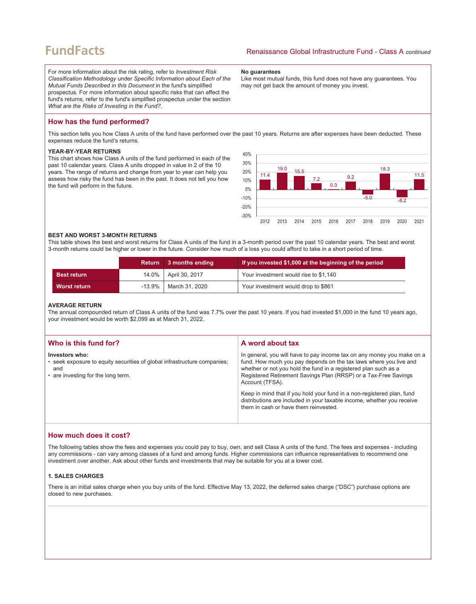## **FundFacts**

For more information about the risk rating, refer to *Investment Risk Classification Methodology* under *Specific Information about Each of the Mutual Funds Described in this Document* in the fund's simplified prospectus. For more information about specific risks that can affect the fund's returns, refer to the fund's simplified prospectus under the section *What are the Risks of Investing in the Fund?*.

#### **No guarantees**

Like most mutual funds, this fund does not have any guarantees. You may not get back the amount of money you invest.

## **How has the fund performed?**

This section tells you how Class A units of the fund have performed over the past 10 years. Returns are after expenses have been deducted. These expenses reduce the fund's returns.

## **YEAR-BY-YEAR RETURNS**

This chart shows how Class A units of the fund performed in each of the past 10 calendar years. Class A units dropped in value in 2 of the 10 years. The range of returns and change from year to year can help you assess how risky the fund has been in the past. It does not tell you how the fund will perform in the future.



#### **BEST AND WORST 3-MONTH RETURNS**

This table shows the best and worst returns for Class A units of the fund in a 3-month period over the past 10 calendar years. The best and worst 3-month returns could be higher or lower in the future. Consider how much of a loss you could afford to take in a short period of time.

|                     | <b>Return</b> | 3 months ending        | If you invested \$1,000 at the beginning of the period |
|---------------------|---------------|------------------------|--------------------------------------------------------|
| <b>Best return</b>  |               | 14.0%   April 30, 2017 | Your investment would rise to \$1,140                  |
| <b>Worst return</b> | -13.9%        | March 31, 2020         | Your investment would drop to \$861                    |

#### **AVERAGE RETURN**

The annual compounded return of Class A units of the fund was 7.7% over the past 10 years. If you had invested \$1,000 in the fund 10 years ago, your investment would be worth \$2,099 as at March 31, 2022.

| Who is this fund for?                                                                                                                   | A word about tax                                                                                                                                                                                                                                                                                     |
|-----------------------------------------------------------------------------------------------------------------------------------------|------------------------------------------------------------------------------------------------------------------------------------------------------------------------------------------------------------------------------------------------------------------------------------------------------|
| Investors who:<br>• seek exposure to equity securities of global infrastructure companies;<br>and<br>• are investing for the long term. | In general, you will have to pay income tax on any money you make on a<br>fund. How much you pay depends on the tax laws where you live and<br>whether or not you hold the fund in a registered plan such as a<br>Registered Retirement Savings Plan (RRSP) or a Tax-Free Savings<br>Account (TFSA). |
|                                                                                                                                         | Keep in mind that if you hold your fund in a non-registered plan, fund<br>distributions are included in your taxable income, whether you receive<br>them in cash or have them reinvested.                                                                                                            |

## **How much does it cost?**

The following tables show the fees and expenses you could pay to buy, own, and sell Class A units of the fund. The fees and expenses - including any commissions - can vary among classes of a fund and among funds. Higher commissions can influence representatives to recommend one investment over another. Ask about other funds and investments that may be suitable for you at a lower cost.

## **1. SALES CHARGES**

There is an initial sales charge when you buy units of the fund. Effective May 13, 2022, the deferred sales charge ("DSC") purchase options are closed to new purchases.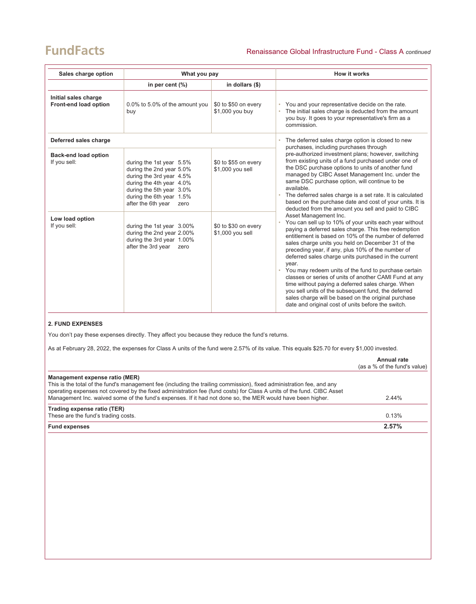## **FundFacts**

| Sales charge option<br>What you pay           |                                                                                                                                                                                                    | How it works                             |                                                                                                                                                                                                                                                                                                                                                                                                                                                                                                                                                                                                                                                                                                                        |
|-----------------------------------------------|----------------------------------------------------------------------------------------------------------------------------------------------------------------------------------------------------|------------------------------------------|------------------------------------------------------------------------------------------------------------------------------------------------------------------------------------------------------------------------------------------------------------------------------------------------------------------------------------------------------------------------------------------------------------------------------------------------------------------------------------------------------------------------------------------------------------------------------------------------------------------------------------------------------------------------------------------------------------------------|
|                                               | in per cent $(\%)$                                                                                                                                                                                 | in dollars (\$)                          |                                                                                                                                                                                                                                                                                                                                                                                                                                                                                                                                                                                                                                                                                                                        |
| Initial sales charge<br>Front-end load option | 0.0% to 5.0% of the amount you<br>buy                                                                                                                                                              | \$0 to \$50 on every<br>\$1,000 you buy  | You and your representative decide on the rate.<br>$\bullet$<br>The initial sales charge is deducted from the amount<br>you buy. It goes to your representative's firm as a<br>commission.                                                                                                                                                                                                                                                                                                                                                                                                                                                                                                                             |
| Deferred sales charge                         |                                                                                                                                                                                                    |                                          | The deferred sales charge option is closed to new                                                                                                                                                                                                                                                                                                                                                                                                                                                                                                                                                                                                                                                                      |
| <b>Back-end load option</b><br>If you sell:   | during the 1st year 5.5%<br>during the 2nd year 5.0%<br>during the 3rd year 4.5%<br>during the 4th year 4.0%<br>during the 5th year 3.0%<br>during the 6th year 1.5%<br>after the 6th year<br>zero | \$0 to \$55 on every<br>\$1,000 you sell | purchases, including purchases through<br>pre-authorized investment plans; however, switching<br>from existing units of a fund purchased under one of<br>the DSC purchase options to units of another fund<br>managed by CIBC Asset Management Inc. under the<br>same DSC purchase option, will continue to be<br>available.<br>The deferred sales charge is a set rate. It is calculated<br>based on the purchase date and cost of your units. It is<br>deducted from the amount you sell and paid to CIBC                                                                                                                                                                                                            |
| Low load option<br>If you sell:               | during the 1st year 3.00%<br>during the 2nd year 2.00%<br>during the 3rd year 1.00%<br>after the 3rd year<br>zero                                                                                  | \$0 to \$30 on every<br>\$1,000 you sell | Asset Management Inc.<br>You can sell up to 10% of your units each year without<br>paying a deferred sales charge. This free redemption<br>entitlement is based on 10% of the number of deferred<br>sales charge units you held on December 31 of the<br>preceding year, if any, plus 10% of the number of<br>deferred sales charge units purchased in the current<br>year.<br>You may redeem units of the fund to purchase certain<br>classes or series of units of another CAMI Fund at any<br>time without paying a deferred sales charge. When<br>you sell units of the subsequent fund, the deferred<br>sales charge will be based on the original purchase<br>date and original cost of units before the switch. |

## **2. FUND EXPENSES**

You don't pay these expenses directly. They affect you because they reduce the fund's returns.

As at February 28, 2022, the expenses for Class A units of the fund were 2.57% of its value. This equals \$25.70 for every \$1,000 invested.

|                                                                                                                                                                                                                                                | Annual rate<br>(as a % of the fund's value) |
|------------------------------------------------------------------------------------------------------------------------------------------------------------------------------------------------------------------------------------------------|---------------------------------------------|
| Management expense ratio (MER)                                                                                                                                                                                                                 |                                             |
| This is the total of the fund's management fee (including the trailing commission), fixed administration fee, and any<br>operating expenses not covered by the fixed administration fee (fund costs) for Class A units of the fund. CIBC Asset |                                             |
| Management Inc. waived some of the fund's expenses. If it had not done so, the MER would have been higher.                                                                                                                                     | 2.44%                                       |
| Trading expense ratio (TER)                                                                                                                                                                                                                    |                                             |
| These are the fund's trading costs.                                                                                                                                                                                                            | 0.13%                                       |
| <b>Fund expenses</b>                                                                                                                                                                                                                           | 2.57%                                       |